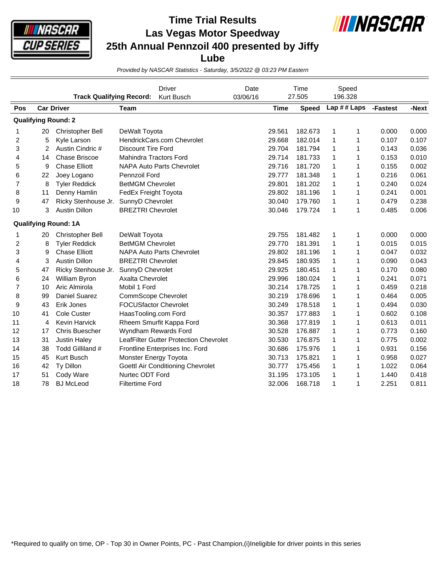

## **Time Trial Results Las Vegas Motor Speedway 25th Annual Pennzoil 400 presented by Jiffy Lube**



*Provided by NASCAR Statistics - Saturday, 3/5/2022 @ 03:23 PM Eastern*

|                | <b>Track Qualifying Record:</b> |                             |                                  | <b>Driver</b><br>Kurt Busch            | Date<br>03/06/16 | Time<br>27.505 |              | Speed<br>196.328 |              |          |       |
|----------------|---------------------------------|-----------------------------|----------------------------------|----------------------------------------|------------------|----------------|--------------|------------------|--------------|----------|-------|
| Pos            |                                 | <b>Car Driver</b>           | Team                             |                                        |                  | <b>Time</b>    | <b>Speed</b> |                  | Lap ## Laps  | -Fastest | -Next |
|                |                                 | <b>Qualifying Round: 2</b>  |                                  |                                        |                  |                |              |                  |              |          |       |
| 1              | 20                              | Christopher Bell            | DeWalt Toyota                    |                                        |                  | 29.561         | 182.673      | 1                | 1            | 0.000    | 0.000 |
| 2              | 5                               | Kyle Larson                 |                                  | HendrickCars.com Chevrolet             |                  | 29.668         | 182.014      | 1                | 1            | 0.107    | 0.107 |
| 3              | $\overline{2}$                  | Austin Cindric #            | <b>Discount Tire Ford</b>        |                                        |                  | 29.704         | 181.794      | 1                | 1            | 0.143    | 0.036 |
| 4              | 14                              | <b>Chase Briscoe</b>        | <b>Mahindra Tractors Ford</b>    |                                        |                  | 29.714         | 181.733      | 1                | 1            | 0.153    | 0.010 |
| 5              | 9                               | <b>Chase Elliott</b>        | <b>NAPA Auto Parts Chevrolet</b> |                                        |                  | 29.716         | 181.720      | 1                | 1            | 0.155    | 0.002 |
| 6              | 22                              | Joey Logano                 | <b>Pennzoil Ford</b>             |                                        |                  | 29.777         | 181.348      | $\mathbf{1}$     | $\mathbf{1}$ | 0.216    | 0.061 |
| $\overline{7}$ | 8                               | <b>Tyler Reddick</b>        | <b>BetMGM Chevrolet</b>          |                                        |                  | 29.801         | 181.202      | 1                | $\mathbf{1}$ | 0.240    | 0.024 |
| 8              | 11                              | Denny Hamlin                | FedEx Freight Toyota             |                                        |                  | 29.802         | 181.196      | 1                | 1            | 0.241    | 0.001 |
| 9              | 47                              | Ricky Stenhouse Jr.         | SunnyD Chevrolet                 |                                        |                  | 30.040         | 179.760      | 1                | $\mathbf{1}$ | 0.479    | 0.238 |
| 10             | 3                               | <b>Austin Dillon</b>        | <b>BREZTRI Chevrolet</b>         |                                        |                  | 30.046         | 179.724      | 1                | $\mathbf{1}$ | 0.485    | 0.006 |
|                |                                 | <b>Qualifying Round: 1A</b> |                                  |                                        |                  |                |              |                  |              |          |       |
| 1              | 20                              | <b>Christopher Bell</b>     | DeWalt Toyota                    |                                        |                  | 29.755         | 181.482      | 1                | 1            | 0.000    | 0.000 |
| 2              | 8                               | <b>Tyler Reddick</b>        | <b>BetMGM Chevrolet</b>          |                                        |                  | 29.770         | 181.391      | 1                | 1            | 0.015    | 0.015 |
| 3              | 9                               | <b>Chase Elliott</b>        |                                  | <b>NAPA Auto Parts Chevrolet</b>       |                  | 29.802         | 181.196      | 1                | 1            | 0.047    | 0.032 |
| 4              | 3                               | <b>Austin Dillon</b>        | <b>BREZTRI Chevrolet</b>         |                                        |                  | 29.845         | 180.935      | 1                | 1            | 0.090    | 0.043 |
| 5              | 47                              | Ricky Stenhouse Jr.         | SunnyD Chevrolet                 |                                        |                  | 29.925         | 180.451      | 1                | $\mathbf{1}$ | 0.170    | 0.080 |
| 6              | 24                              | William Byron               | Axalta Chevrolet                 |                                        |                  | 29.996         | 180.024      | 1                | 1            | 0.241    | 0.071 |
| $\overline{7}$ | 10                              | Aric Almirola               | Mobil 1 Ford                     |                                        |                  | 30.214         | 178.725      | 1                | 1            | 0.459    | 0.218 |
| 8              | 99                              | Daniel Suarez               | <b>CommScope Chevrolet</b>       |                                        |                  | 30.219         | 178.696      | 1                | $\mathbf{1}$ | 0.464    | 0.005 |
| 9              | 43                              | Erik Jones                  | <b>FOCUSfactor Chevrolet</b>     |                                        |                  | 30.249         | 178.518      | 1                | 1            | 0.494    | 0.030 |
| 10             | 41                              | Cole Custer                 | HaasTooling.com Ford             |                                        |                  | 30.357         | 177.883      | 1                | 1            | 0.602    | 0.108 |
| 11             | 4                               | <b>Kevin Harvick</b>        |                                  | Rheem Smurfit Kappa Ford               |                  | 30.368         | 177.819      | 1                | $\mathbf{1}$ | 0.613    | 0.011 |
| 12             | 17                              | <b>Chris Buescher</b>       | Wyndham Rewards Ford             |                                        |                  | 30.528         | 176.887      | 1                | 1            | 0.773    | 0.160 |
| 13             | 31                              | <b>Justin Haley</b>         |                                  | LeafFilter Gutter Protection Chevrolet |                  | 30.530         | 176.875      | 1                | 1            | 0.775    | 0.002 |
| 14             | 38                              | Todd Gilliland #            |                                  | Frontline Enterprises Inc. Ford        |                  | 30.686         | 175.976      | 1                | $\mathbf{1}$ | 0.931    | 0.156 |
| 15             | 45                              | Kurt Busch                  | Monster Energy Toyota            |                                        |                  | 30.713         | 175.821      | 1                | 1            | 0.958    | 0.027 |
| 16             | 42                              | Ty Dillon                   |                                  | Goettl Air Conditioning Chevrolet      |                  | 30.777         | 175.456      | 1                | 1            | 1.022    | 0.064 |
| 17             | 51                              | Cody Ware                   | Nurtec ODT Ford                  |                                        |                  | 31.195         | 173.105      | 1                | 1            | 1.440    | 0.418 |
| 18             | 78                              | <b>BJ McLeod</b>            | <b>Filtertime Ford</b>           |                                        |                  | 32.006         | 168.718      | 1                | $\mathbf{1}$ | 2.251    | 0.811 |